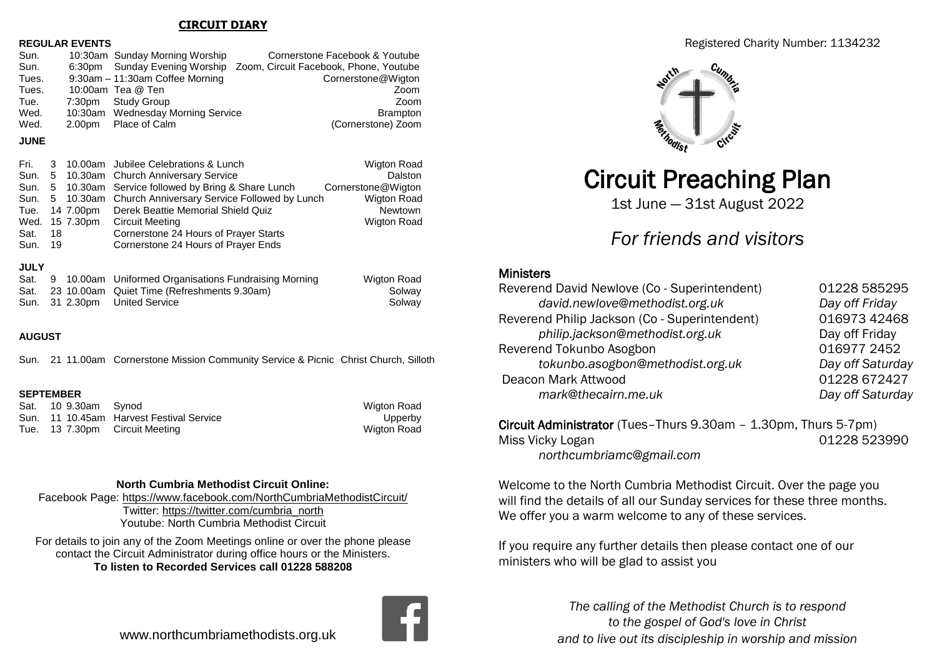## **CIRCUIT DIARY**

### **REGULAR EVENTS**

|  | Cornerstone Facebook & Youtube                                                                                                                                            |
|--|---------------------------------------------------------------------------------------------------------------------------------------------------------------------------|
|  | 6:30pm Sunday Evening Worship Zoom, Circuit Facebook, Phone, Youtube                                                                                                      |
|  | Cornerstone@Wigton                                                                                                                                                        |
|  | Zoom                                                                                                                                                                      |
|  | Zoom                                                                                                                                                                      |
|  | <b>Brampton</b>                                                                                                                                                           |
|  | (Cornerstone) Zoom                                                                                                                                                        |
|  | 10:30am Sunday Morning Worship<br>9:30am - 11:30am Coffee Morning<br>10:00am Tea @ Ten<br>7:30pm Study Group<br>10:30am Wednesday Morning Service<br>2.00pm Place of Calm |

## **JUNE**

| Fri. I<br>Tue.<br>Sat. | 18  | Wed. 15 7.30pm | 3 10.00am Jubilee Celebrations & Lunch<br>Sun. 5 10.30am Church Anniversary Service<br>Sun. 5 10.30am Service followed by Bring & Share Lunch<br>Sun. 5 10.30am Church Anniversary Service Followed by Lunch<br>14 7.00pm Derek Beattie Memorial Shield Quiz<br><b>Circuit Meeting</b><br>Cornerstone 24 Hours of Prayer Starts | <b>Wigton Road</b><br>Dalston<br>Cornerstone@Wigton<br><b>Wigton Road</b><br>Newtown<br><b>Wigton Road</b> |
|------------------------|-----|----------------|---------------------------------------------------------------------------------------------------------------------------------------------------------------------------------------------------------------------------------------------------------------------------------------------------------------------------------|------------------------------------------------------------------------------------------------------------|
| Sun.                   | -19 |                | Cornerstone 24 Hours of Prayer Ends                                                                                                                                                                                                                                                                                             |                                                                                                            |
|                        |     |                |                                                                                                                                                                                                                                                                                                                                 |                                                                                                            |

## **JULY**

|  | Sat. 9 10.00am Uniformed Organisations Fundraising Morning | Wigton Road |
|--|------------------------------------------------------------|-------------|
|  | Sat. 23 10.00am Quiet Time (Refreshments 9.30am)           | Solway      |
|  | Sun. 31 2.30pm United Service                              | Solway      |

## **AUGUST**

Sun. 21 11.00am Cornerstone Mission Community Service & Picnic Christ Church, Silloth

## **SEPTEMBER**

| Sat. 10 9.30am Synod |                                          | <b>Wigton Road</b> |
|----------------------|------------------------------------------|--------------------|
|                      | Sun. 11 10.45am Harvest Festival Service | Upperby            |
|                      | Tue. 13 7.30pm Circuit Meeting           | <b>Wigton Road</b> |

## **North Cumbria Methodist Circuit Online:**

Facebook Page:<https://www.facebook.com/NorthCumbriaMethodistCircuit/> Twitter: [https://twitter.com/cumbria\\_north](https://twitter.com/cumbria_north) Youtube: North Cumbria Methodist Circuit

For details to join any of the Zoom Meetings online or over the phone please contact the Circuit Administrator during office hours or the Ministers. **To listen to Recorded Services call 01228 588208**

## www.northcumbriamethodists.org.uk

## Registered Charity Number: 1134232



# Circuit Preaching Plan

1st June — 31st August 2022

## *For friends and visitors*

## **Ministers**

| Reverend David Newlove (Co - Superintendent)  | 01228 585295     |
|-----------------------------------------------|------------------|
| david.newlove@methodist.org.uk                | Day off Friday   |
| Reverend Philip Jackson (Co - Superintendent) | 016973 42468     |
| philip.jackson@methodist.org.uk               | Day off Friday   |
| Reverend Tokunbo Asogbon                      | 016977 2452      |
| tokunbo.asogbon@methodist.org.uk              | Day off Saturday |
| Deacon Mark Attwood                           | 01228 672427     |
| mark@thecairn.me.uk                           | Day off Saturday |
|                                               |                  |

Circuit Administrator (Tues–Thurs 9.30am – 1.30pm, Thurs 5-7pm) Miss Vicky Logan 201228 523990 *northcumbriamc@gmail.com*

Welcome to the North Cumbria Methodist Circuit. Over the page you will find the details of all our Sunday services for these three months. We offer you a warm welcome to any of these services.

If you require any further details then please contact one of our ministers who will be glad to assist you

> *The calling of the Methodist Church is to respond to the gospel of God's love in Christ and to live out its discipleship in worship and mission*